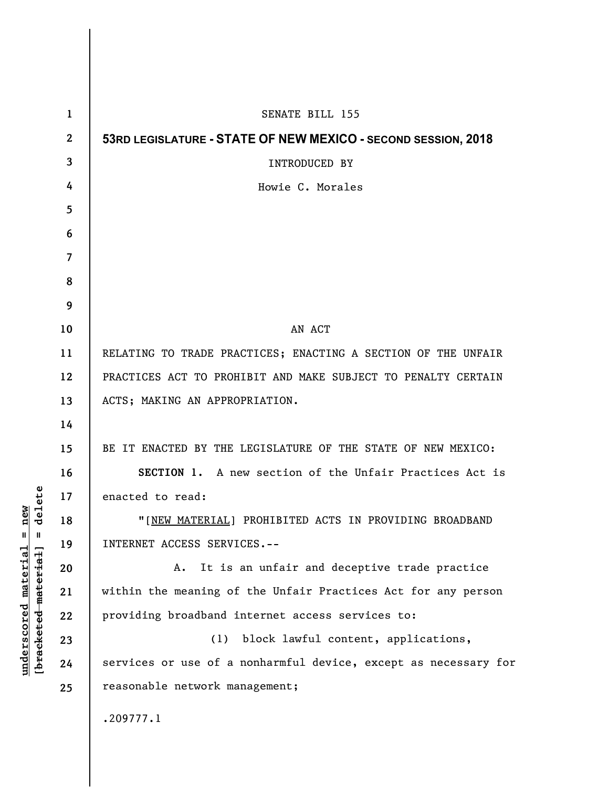| $\mathbf{1}$     | SENATE BILL 155                                                 |
|------------------|-----------------------------------------------------------------|
| $\boldsymbol{2}$ | 53RD LEGISLATURE - STATE OF NEW MEXICO - SECOND SESSION, 2018   |
| 3                | <b>INTRODUCED BY</b>                                            |
| 4                | Howie C. Morales                                                |
| 5                |                                                                 |
| 6                |                                                                 |
| $\overline{7}$   |                                                                 |
| 8                |                                                                 |
| 9                |                                                                 |
| 10               | AN ACT                                                          |
| 11               | RELATING TO TRADE PRACTICES; ENACTING A SECTION OF THE UNFAIR   |
| 12               | PRACTICES ACT TO PROHIBIT AND MAKE SUBJECT TO PENALTY CERTAIN   |
| 13               | ACTS; MAKING AN APPROPRIATION.                                  |
| 14               |                                                                 |
| 15               | BE IT ENACTED BY THE LEGISLATURE OF THE STATE OF NEW MEXICO:    |
| 16               | SECTION 1. A new section of the Unfair Practices Act is         |
| 17               | enacted to read:                                                |
| 18               | "[NEW MATERIAL] PROHIBITED ACTS IN PROVIDING BROADBAND          |
| 19               | INTERNET ACCESS SERVICES.--                                     |
| 20               | It is an unfair and deceptive trade practice<br>Α.              |
| 21               | within the meaning of the Unfair Practices Act for any person   |
| 22               | providing broadband internet access services to:                |
| 23               | block lawful content, applications,<br>(1)                      |
| 24               | services or use of a nonharmful device, except as necessary for |
| 25               | reasonable network management;                                  |
|                  | .209777.1                                                       |
|                  |                                                                 |

**underscored material = new [bracketed material] = delete**

 $[bracketeed-materiat] = delete$  $underscored material = new$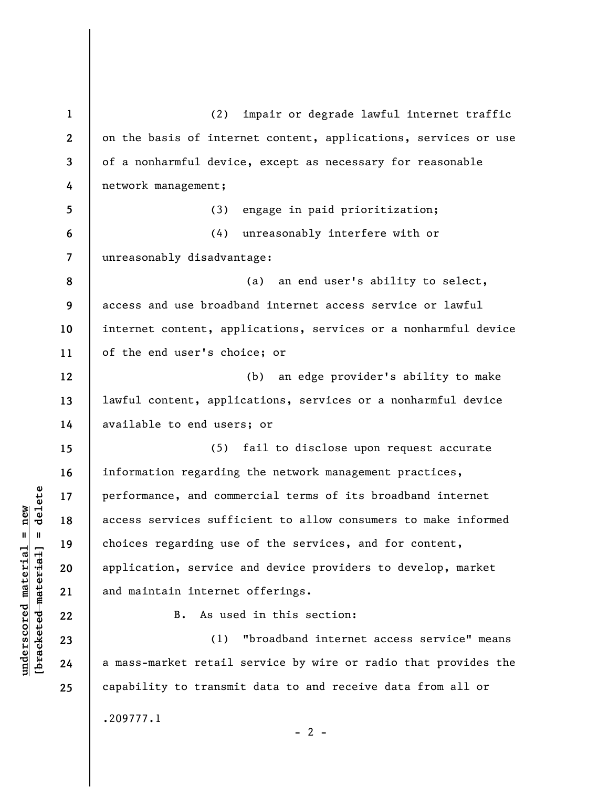**1 2 3 4 5 6 7 8 9 10 11 12 13 14 15 16 17 18 19 20 21 22 23 24 25**  (2) impair or degrade lawful internet traffic on the basis of internet content, applications, services or use of a nonharmful device, except as necessary for reasonable network management; (3) engage in paid prioritization; (4) unreasonably interfere with or unreasonably disadvantage: (a) an end user's ability to select, access and use broadband internet access service or lawful internet content, applications, services or a nonharmful device of the end user's choice; or (b) an edge provider's ability to make lawful content, applications, services or a nonharmful device available to end users; or (5) fail to disclose upon request accurate information regarding the network management practices, performance, and commercial terms of its broadband internet access services sufficient to allow consumers to make informed choices regarding use of the services, and for content, application, service and device providers to develop, market and maintain internet offerings. B. As used in this section: (1) "broadband internet access service" means a mass-market retail service by wire or radio that provides the capability to transmit data to and receive data from all or .209777.1

 $\frac{1}{2}$  intereted material = delete **[bracketed material] = delete**  $underscored material = new$ **underscored material = new**

 $- 2 -$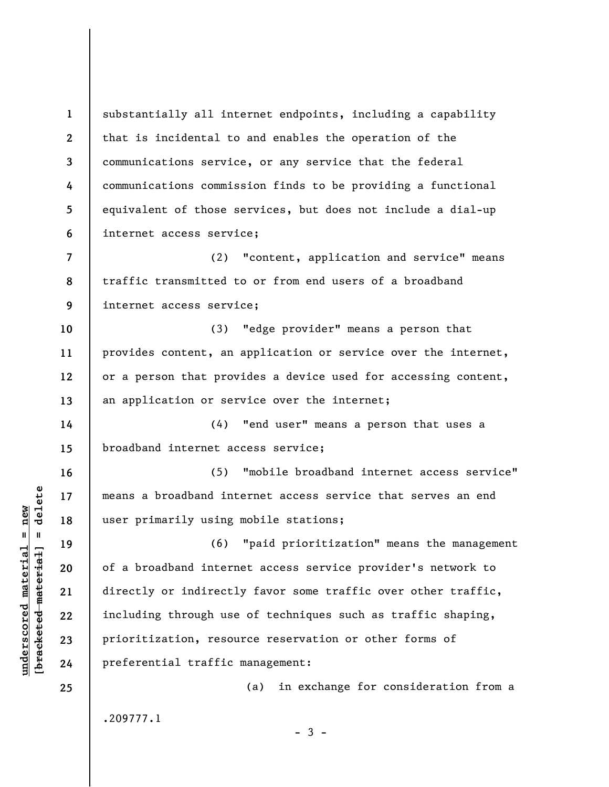**1 2 3 4 5 6 7 8 9 10 11 12 13 14 15 16 17 18 19 20 21 22 23 24 25**  substantially all internet endpoints, including a capability that is incidental to and enables the operation of the communications service, or any service that the federal communications commission finds to be providing a functional equivalent of those services, but does not include a dial-up internet access service; (2) "content, application and service" means traffic transmitted to or from end users of a broadband internet access service; (3) "edge provider" means a person that provides content, an application or service over the internet, or a person that provides a device used for accessing content, an application or service over the internet; (4) "end user" means a person that uses a broadband internet access service; (5) "mobile broadband internet access service" means a broadband internet access service that serves an end user primarily using mobile stations; (6) "paid prioritization" means the management of a broadband internet access service provider's network to directly or indirectly favor some traffic over other traffic, including through use of techniques such as traffic shaping, prioritization, resource reservation or other forms of preferential traffic management: (a) in exchange for consideration from a .209777.1

 $\frac{1}{2}$  of  $\frac{1}{2}$  and  $\frac{1}{2}$  and  $\frac{1}{2}$  and  $\frac{1}{2}$  and  $\frac{1}{2}$  and  $\frac{1}{2}$  and  $\frac{1}{2}$  and  $\frac{1}{2}$  and  $\frac{1}{2}$  and  $\frac{1}{2}$  and  $\frac{1}{2}$  and  $\frac{1}{2}$  and  $\frac{1}{2}$  and  $\frac{1}{2}$  and  $\frac{1}{2}$  an **[bracketed material] = delete**  $underscored material = new$ **underscored material = new**

 $-3 -$